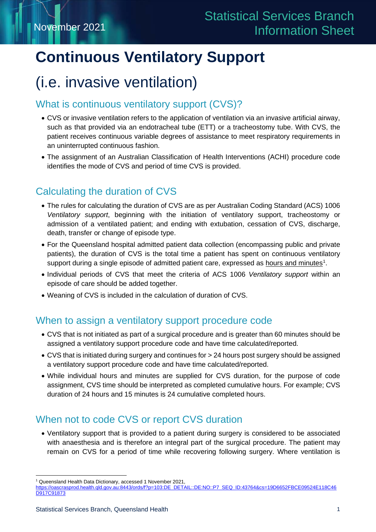# **Continuous Ventilatory Support**

## (i.e. invasive ventilation)

## What is continuous ventilatory support (CVS)?

- CVS or invasive ventilation refers to the application of ventilation via an invasive artificial airway, such as that provided via an endotracheal tube (ETT) or a tracheostomy tube. With CVS, the patient receives continuous variable degrees of assistance to meet respiratory requirements in an uninterrupted continuous fashion.
- The assignment of an Australian Classification of Health Interventions (ACHI) procedure code identifies the mode of CVS and period of time CVS is provided.

## Calculating the duration of CVS

- The rules for calculating the duration of CVS are as per Australian Coding Standard (ACS) 1006 *Ventilatory support*, beginning with the initiation of ventilatory support, tracheostomy or admission of a ventilated patient; and ending with extubation, cessation of CVS, discharge, death, transfer or change of episode type.
- For the Queensland hospital admitted patient data collection (encompassing public and private patients), the duration of CVS is the total time a patient has spent on continuous ventilatory support during a single episode of admitted patient care, expressed as <u>hours and minutes</u><sup>[1](#page-0-0)</sup>.
- Individual periods of CVS that meet the criteria of ACS 1006 *Ventilatory support* within an episode of care should be added together.
- Weaning of CVS is included in the calculation of duration of CVS.

## When to assign a ventilatory support procedure code

- CVS that is not initiated as part of a surgical procedure and is greater than 60 minutes should be assigned a ventilatory support procedure code and have time calculated/reported.
- CVS that is initiated during surgery and continues for > 24 hours post surgery should be assigned a ventilatory support procedure code and have time calculated/reported.
- While individual hours and minutes are supplied for CVS duration, for the purpose of code assignment, CVS time should be interpreted as completed cumulative hours. For example; CVS duration of 24 hours and 15 minutes is 24 cumulative completed hours.

## When not to code CVS or report CVS duration

• Ventilatory support that is provided to a patient during surgery is considered to be associated with anaesthesia and is therefore an integral part of the surgical procedure. The patient may remain on CVS for a period of time while recovering following surgery. Where ventilation is

<span id="page-0-0"></span><sup>1</sup> Queensland Health Data Dictionary, accessed 1 November 2021,

https://oascrasprod.health.qld.gov.au:8443/ords/f?p=103:DE\_DETAIL::DE:NO::P7\_SEQ\_ID:43764&cs=19D6652FBCE09524E118C46 D917C91873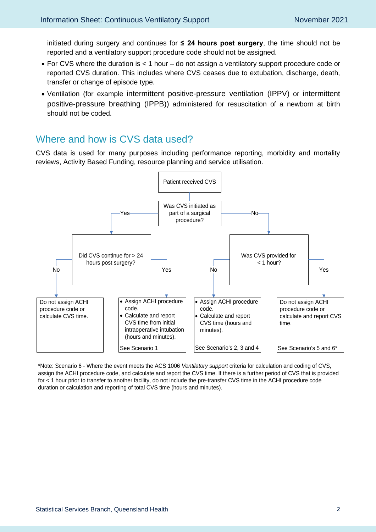initiated during surgery and continues for **≤ 24 hours post surgery**, the time should not be reported and a ventilatory support procedure code should not be assigned.

- For CVS where the duration is < 1 hour do not assign a ventilatory support procedure code or reported CVS duration. This includes where CVS ceases due to extubation, discharge, death, transfer or change of episode type.
- Ventilation (for example intermittent positive-pressure ventilation (IPPV) or intermittent positive-pressure breathing (IPPB)) administered for resuscitation of a newborn at birth should not be coded.

### Where and how is CVS data used?

CVS data is used for many purposes including performance reporting, morbidity and mortality reviews, Activity Based Funding, resource planning and service utilisation.



\*Note: Scenario 6 - Where the event meets the ACS 1006 *Ventilatory support* criteria for calculation and coding of CVS, assign the ACHI procedure code, and calculate and report the CVS time. If there is a further period of CVS that is provided for < 1 hour prior to transfer to another facility, do not include the pre-transfer CVS time in the ACHI procedure code duration or calculation and reporting of total CVS time (hours and minutes).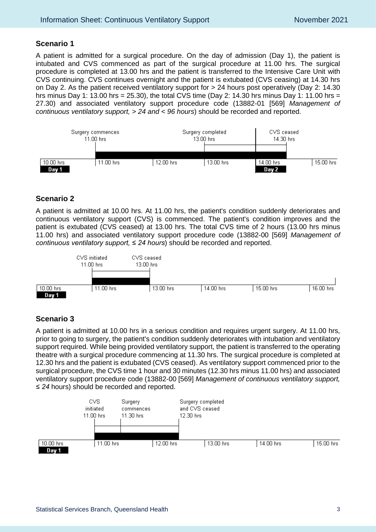#### **Scenario 1**

A patient is admitted for a surgical procedure. On the day of admission (Day 1), the patient is intubated and CVS commenced as part of the surgical procedure at 11.00 hrs. The surgical procedure is completed at 13.00 hrs and the patient is transferred to the Intensive Care Unit with CVS continuing. CVS continues overnight and the patient is extubated (CVS ceasing) at 14.30 hrs on Day 2. As the patient received ventilatory support for > 24 hours post operatively (Day 2: 14.30 hrs minus Day 1: 13.00 hrs = 25.30), the total CVS time (Day 2: 14.30 hrs minus Day 1: 11.00 hrs = 27.30) and associated ventilatory support procedure code (13882-01 [569] *Management of continuous ventilatory support, > 24 and < 96 hours*) should be recorded and reported.



#### **Scenario 2**

A patient is admitted at 10.00 hrs. At 11.00 hrs, the patient's condition suddenly deteriorates and continuous ventilatory support (CVS) is commenced. The patient's condition improves and the patient is extubated (CVS ceased) at 13.00 hrs. The total CVS time of 2 hours (13.00 hrs minus 11.00 hrs) and associated ventilatory support procedure code (13882-00 [569] *Management of continuous ventilatory support, ≤ 24 hours*) should be recorded and reported.



#### **Scenario 3**

A patient is admitted at 10.00 hrs in a serious condition and requires urgent surgery. At 11.00 hrs, prior to going to surgery, the patient's condition suddenly deteriorates with intubation and ventilatory support required. While being provided ventilatory support, the patient is transferred to the operating theatre with a surgical procedure commencing at 11.30 hrs. The surgical procedure is completed at 12.30 hrs and the patient is extubated (CVS ceased). As ventilatory support commenced prior to the surgical procedure, the CVS time 1 hour and 30 minutes (12.30 hrs minus 11.00 hrs) and associated ventilatory support procedure code (13882-00 [569] *Management of continuous ventilatory support, ≤ 24* hours) should be recorded and reported.